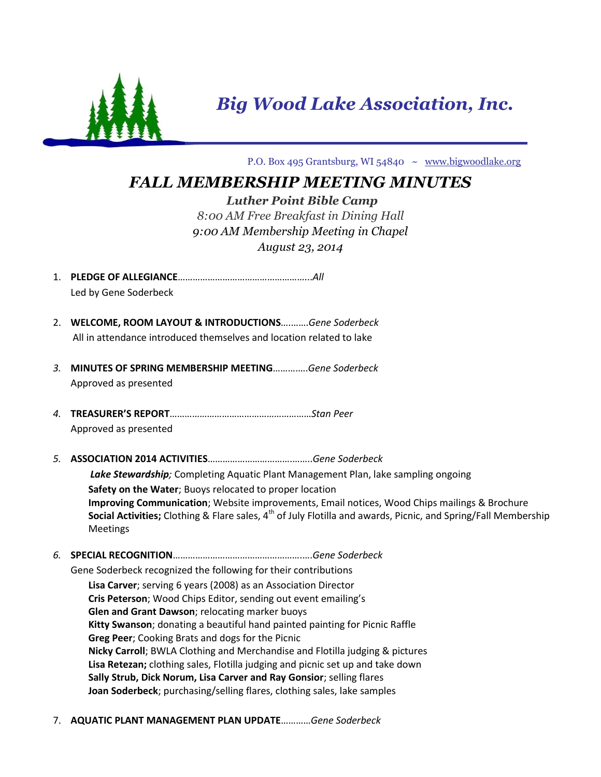

*Big Wood Lake Association, Inc.*

P.O. Box 495 Grantsburg, WI 54840 ~ [www.bigwoodlake.org](http://www.bigwoodlake.org/)

## *FALL MEMBERSHIP MEETING MINUTES*

*Luther Point Bible Camp 8:00 AM Free Breakfast in Dining Hall 9:00 AM Membership Meeting in Chapel*

*August 23, 2014*

- 1. **PLEDGE OF ALLEGIANCE**……………………………………………...*All* Led by Gene Soderbeck
- 2. **WELCOME, ROOM LAYOUT & INTRODUCTIONS**….…….*Gene Soderbeck* All in attendance introduced themselves and location related to lake
- *3.* **MINUTES OF SPRING MEMBERSHIP MEETING**……….….*Gene Soderbeck* Approved as presented
- *4.* **TREASURER'S REPORT**…………………………………………………*Stan Peer* Approved as presented
- *5.* **ASSOCIATION 2014 ACTIVITIES**…………………………….……..*Gene Soderbeck*

 *Lake Stewardship;* Completing Aquatic Plant Management Plan, lake sampling ongoing

**Safety on the Water**; Buoys relocated to proper location **Improving Communication**; Website improvements, Email notices, Wood Chips mailings & Brochure **Social Activities;** Clothing & Flare sales, 4<sup>th</sup> of July Flotilla and awards, Picnic, and Spring/Fall Membership Meetings

*6.* **SPECIAL RECOGNITION**…………………………………………….….*Gene Soderbeck*

Gene Soderbeck recognized the following for their contributions

**Lisa Carver**; serving 6 years (2008) as an Association Director **Cris Peterson**; Wood Chips Editor, sending out event emailing's **Glen and Grant Dawson**; relocating marker buoys **Kitty Swanson**; donating a beautiful hand painted painting for Picnic Raffle **Greg Peer**; Cooking Brats and dogs for the Picnic **Nicky Carroll**; BWLA Clothing and Merchandise and Flotilla judging & pictures **Lisa Retezan;** clothing sales, Flotilla judging and picnic set up and take down **Sally Strub, Dick Norum, Lisa Carver and Ray Gonsior**; selling flares **Joan Soderbeck**; purchasing/selling flares, clothing sales, lake samples

7. **AQUATIC PLANT MANAGEMENT PLAN UPDATE**…………*Gene Soderbeck*